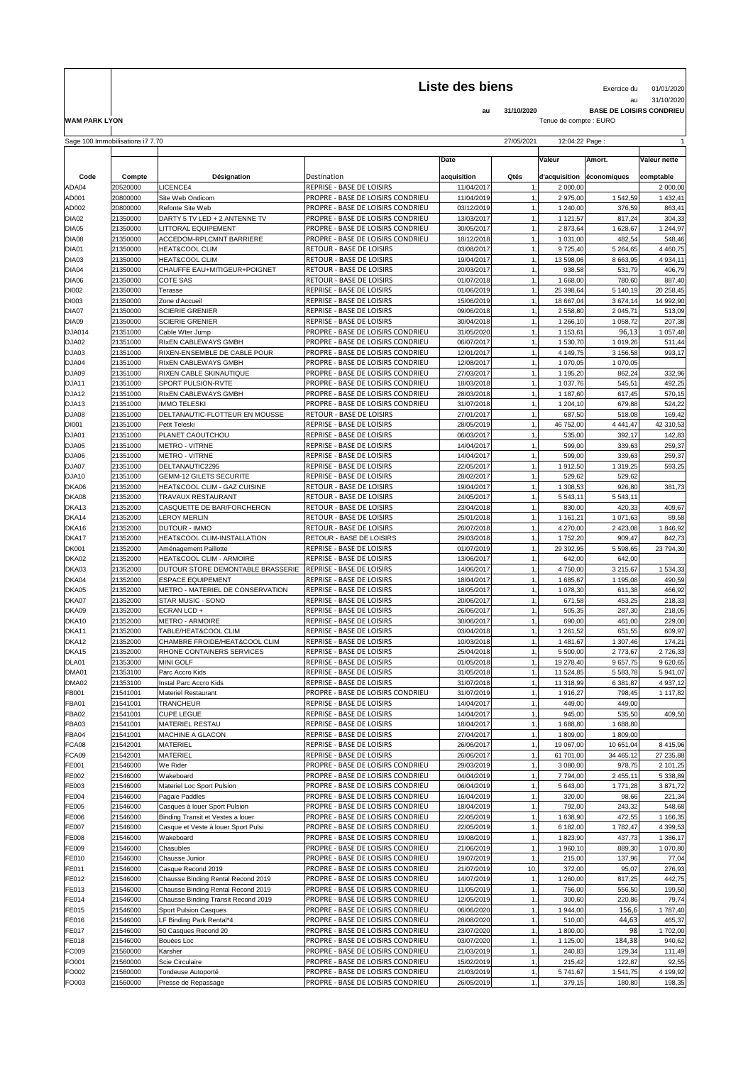## Liste des biens<br>
Exercice du 01/01/2020

au 31/10/2020

 $\blacksquare$ 

**au 31/10/2020 BASE DE LOISIRS CONDRIEU WAM PARK LYON** Tenue de compte : EURO

|                              | Sage 100 Immobilisations i7 7.70 | 27/05/2021<br>12:04:22 Page:<br>$\mathbf{1}$                  |                                                                                      |                          |      |                      |                          |                    |  |
|------------------------------|----------------------------------|---------------------------------------------------------------|--------------------------------------------------------------------------------------|--------------------------|------|----------------------|--------------------------|--------------------|--|
|                              |                                  |                                                               |                                                                                      |                          |      |                      |                          |                    |  |
|                              |                                  |                                                               |                                                                                      | Date                     |      | <b>Valeur</b>        | Amort.                   | Valeur nette       |  |
| Code                         | Compte                           | Désignation                                                   | Destination                                                                          | acquisition              | Qtés | d'acquisition        | economiques              | comptable          |  |
| ADA04                        | 20520000                         | LICENCE4                                                      | <b>REPRISE - BASE DE LOISIRS</b>                                                     | 11/04/2017               |      | 2 000,00             |                          | 2 000,00           |  |
| AD001                        | 20800000                         | Site Web Ondicom                                              | PROPRE - BASE DE LOISIRS CONDRIEU                                                    | 11/04/2019               |      | 2 975,00             | 1 542,59                 | 1 432,41           |  |
| AD002                        | 20800000                         | Refonte Site Web                                              | PROPRE - BASE DE LOISIRS CONDRIEU                                                    | 03/12/2019               |      | 1 240,00             | 376,59                   | 863,41             |  |
| DIA02                        | 21350000                         | DARTY 5 TV LED + 2 ANTENNE TV                                 | <b>PROPRE - BASE DE LOISIRS CONDRIEU</b>                                             | 13/03/2017               |      | 1 121,57             | 817,24                   | 304,33             |  |
| DIA05                        | 21350000                         | LITTORAL EQUIPEMENT                                           | <b>PROPRE - BASE DE LOISIRS CONDRIEU</b>                                             | 30/05/2017               |      | 2 873,64             | 1 628,67                 | 1 244,97           |  |
| DIA08                        | 21350000                         | ACCEDOM-RPLCMNT BARRIERE                                      | <b>PROPRE - BASE DE LOISIRS CONDRIEU</b>                                             | 18/12/2018               |      | 1 031,00             | 482,54                   | 548,46             |  |
| DIA01                        | 21350000                         | HEAT&COOL CLIM                                                | <b>RETOUR - BASE DE LOISIRS</b>                                                      | 03/08/2017               |      | 9725,40              | 5 2 64,65                | 4 4 60,75          |  |
| DIA03                        | 21350000                         | HEAT&COOL CLIM                                                | <b>RETOUR - BASE DE LOISIRS</b>                                                      | 19/04/2017               |      | 13 598,06            | 8 663,95                 | 4 9 34, 11         |  |
| DIA04                        | 21350000                         | CHAUFFE EAU+MITIGEUR+POIGNET                                  | <b>RETOUR - BASE DE LOISIRS</b>                                                      | 20/03/2017               |      | 938,58               | 531,79                   | 406,79             |  |
| DIA06                        | 21350000                         | <b>COTE SAS</b>                                               | <b>RETOUR - BASE DE LOISIRS</b>                                                      | 01/07/2018               |      | 1 668,00             | 780,60                   | 887,40             |  |
| DI002                        | 21350000                         | Terasse                                                       | <b>REPRISE - BASE DE LOISIRS</b>                                                     | 01/06/2019               |      | 25 398,64            | 5 140,19                 | 20 258,45          |  |
| DI003                        | 21350000                         | Zone d'Accueil                                                | <b>REPRISE - BASE DE LOISIRS</b>                                                     | 15/06/2019               |      | 18 667,04            | 3 674,14                 | 14 992,90          |  |
| DIA07                        | 21350000                         | <b>SCIERIE GRENIER</b>                                        | <b>REPRISE - BASE DE LOISIRS</b>                                                     | 09/06/2018               |      | 2 558,80             | 2 045,71                 | 513,09             |  |
| DIA09                        | 21350000                         | <b>SCIERIE GRENIER</b>                                        | <b>REPRISE - BASE DE LOISIRS</b>                                                     | 30/04/2018               |      | 1 266,10             | 1 058,72                 | 207,38             |  |
| <b>DJA014</b>                | 21351000                         | Cable Wter Jump                                               | <b>PROPRE - BASE DE LOISIRS CONDRIEU</b>                                             | 31/05/2020               |      | 1 153,61             | 96,13                    | 1 057,48           |  |
| DJA02                        | 21351000                         | RIXEN CABLEWAYS GMBH                                          | <b>PROPRE - BASE DE LOISIRS CONDRIEU</b>                                             | 06/07/2017               |      | 1 530,70             | 1 019,26                 | 511,44             |  |
| DJA03                        | 21351000                         | RIXEN-ENSEMBLE DE CABLE POUR<br>RIXEN CABLEWAYS GMBH          | PROPRE - BASE DE LOISIRS CONDRIEU<br>PROPRE - BASE DE LOISIRS CONDRIEU               | 12/01/2017<br>12/08/2017 |      | 4 149,75<br>1 070,05 | 3 156,58                 | 993,17             |  |
| DJA04<br>DJA09               | 21351000<br>21351000             | RIXEN CABLE SKINAUTIQUE                                       | <b>PROPRE - BASE DE LOISIRS CONDRIEU</b>                                             | 27/03/2017               |      | 1 195,20             | 1 070,05<br>862,24       | 332,96             |  |
| DJA11                        | 21351000                         | SPORT PULSION-RVTE                                            | <b>PROPRE - BASE DE LOISIRS CONDRIEU</b>                                             | 18/03/2018               |      | 1 037,76             | 545,51                   | 492,25             |  |
| DJA12                        | 21351000                         | <b>RIXEN CABLEWAYS GMBH</b>                                   | PROPRE - BASE DE LOISIRS CONDRIEU                                                    | 28/03/2018               |      | 1 187,60             | 617,45                   | 570,15             |  |
| DJA13                        | 21351000                         | <b>IMMO TELESKI</b>                                           | <b>PROPRE - BASE DE LOISIRS CONDRIEU</b>                                             | 31/07/2018               |      | 1 204,10             | 679,88                   | 524,22             |  |
| DJA08                        | 21351000                         | DELTANAUTIC-FLOTTEUR EN MOUSSE                                | <b>RETOUR - BASE DE LOISIRS</b>                                                      | 27/01/2017               |      | 687,50               | 518,08                   | 169,42             |  |
| DI001                        | 21351000                         | Petit Teleski                                                 | <b>REPRISE - BASE DE LOISIRS</b>                                                     | 28/05/2019               |      | 46 752,00            | 4 4 4 1 , 4 7            | 42 310,53          |  |
| DJA01                        | 21351000                         | PLANET CAOUTCHOU                                              | <b>REPRISE - BASE DE LOISIRS</b>                                                     | 06/03/2017               |      | 535,00               | 392,17                   | 142,83             |  |
| DJA05                        | 21351000                         | <b>METRO - VITRNE</b>                                         | <b>REPRISE - BASE DE LOISIRS</b>                                                     | 14/04/2017               |      | 599,00               | 339,63                   | 259,37             |  |
| DJA06                        | 21351000                         | <b>METRO - VITRNE</b>                                         | <b>REPRISE - BASE DE LOISIRS</b>                                                     | 14/04/2017               |      | 599,00               | 339,63                   | 259,37             |  |
| DJA07                        | 21351000                         | DELTANAUTIC2295                                               | <b>REPRISE - BASE DE LOISIRS</b>                                                     | 22/05/2017               |      | 1912,50              | 1 319,25                 | 593,25             |  |
| DJA10                        | 21351000                         | <b>GEMM-12 GILETS SECURITE</b>                                | <b>REPRISE - BASE DE LOISIRS</b>                                                     | 28/02/2017               |      | 529,62               | 529,62                   |                    |  |
| DKA06                        | 21352000                         | HEAT&COOL CLIM - GAZ CUISINE                                  | <b>RETOUR - BASE DE LOISIRS</b>                                                      | 19/04/2017               |      | 1 308,53             | 926,80                   | 381,73             |  |
| DKA08                        | 21352000                         | <b>TRAVAUX RESTAURANT</b>                                     | <b>RETOUR - BASE DE LOISIRS</b>                                                      | 24/05/2017               |      | 5 5 4 3, 11          | 5 5 4 3, 11              |                    |  |
| DKA13                        | 21352000                         | CASQUETTE DE BAR/FORCHERON                                    | <b>RETOUR - BASE DE LOISIRS</b>                                                      | 23/04/2018               |      | 830,00               | 420,33                   | 409,67             |  |
| DKA14                        | 21352000                         | LEROY MERLIN                                                  | <b>RETOUR - BASE DE LOISIRS</b>                                                      | 25/01/2018               |      | 1 161,21             | 1 071,63                 | 89,58              |  |
| DKA16                        | 21352000                         | <b>DUTOUR - IMMO</b>                                          | <b>RETOUR - BASE DE LOISIRS</b>                                                      | 26/07/2018               |      | 4 270,00             | 2 4 2 3 , 0 8            | 1846,92            |  |
| DKA17                        | 21352000                         | HEAT&COOL CLIM-INSTALLATION                                   | <b>RETOUR - BASE DE LOISIRS</b>                                                      | 29/03/2018               |      | 1752,20              | 909,47                   | 842,73             |  |
| <b>DK001</b>                 | 21352000                         | Aménagement Paillotte                                         | REPRISE - BASE DE LOISIRS                                                            | 01/07/2019               |      | 29 392,95            | 5 598,65                 | 23 794,30          |  |
| DKA02                        | 21352000                         | HEAT&COOL CLIM - ARMOIRE                                      | <b>REPRISE - BASE DE LOISIRS</b>                                                     | 13/06/2017               |      | 642,00               | 642,00                   |                    |  |
| DKA03<br>DKA04               | 21352000<br>21352000             | DUTOUR STORE DEMONTABLE BRASSERIE<br><b>ESPACE EQUIPEMENT</b> | <b>REPRISE - BASE DE LOISIRS</b><br><b>REPRISE - BASE DE LOISIRS</b>                 | 14/06/2017<br>18/04/2017 |      | 4 750,00<br>1 685,67 | 3 2 1 5, 6 7<br>1 195,08 | 1 534,33<br>490,59 |  |
| DKA05                        | 21352000                         | METRO - MATERIEL DE CONSERVATION                              | <b>REPRISE - BASE DE LOISIRS</b>                                                     | 18/05/2017               |      | 1 078,30             | 611,38                   | 466,92             |  |
| DKA07                        | 21352000                         | <b>STAR MUSIC - SONO</b>                                      | <b>REPRISE - BASE DE LOISIRS</b>                                                     | 20/06/2017               |      | 671,58               | 453,25                   | 218,33             |  |
| DKA09                        | 21352000                         | ECRAN LCD +                                                   | <b>REPRISE - BASE DE LOISIRS</b>                                                     | 26/06/2017               |      | 505,35               | 287,30                   | 218,05             |  |
| DKA10                        | 21352000                         | <b>METRO - ARMOIRE</b>                                        | <b>REPRISE - BASE DE LOISIRS</b>                                                     | 30/06/2017               |      | 690,00               | 461,00                   | 229,00             |  |
| DKA11                        | 21352000                         | TABLE/HEAT&COOL CLIM                                          | <b>REPRISE - BASE DE LOISIRS</b>                                                     | 03/04/2018               |      | 1 261,52             | 651,55                   | 609,97             |  |
| DKA12                        | 21352000                         | CHAMBRE FROIDE/HEAT&COOL CLIM                                 | <b>REPRISE - BASE DE LOISIRS</b>                                                     | 10/03/2018               |      | 1481,67              | 1 307,46                 | 174,21             |  |
| DKA15                        | 21352000                         | RHONE CONTAINERS SERVICES                                     | REPRISE - BASE DE LOISIRS                                                            | 25/04/2018               |      | 5 500,00             | 2 773,67                 | 2726,33            |  |
| DLA01                        | 21353000                         | <b>MINI GOLF</b>                                              | REPRISE - BASE DE LOISIRS                                                            | 01/05/2018               |      | 19 278,40            | 9 657,75                 | 9 620,65           |  |
| DMA01                        | 21353100                         | Parc Accro Kids                                               | REPRISE - BASE DE LOISIRS                                                            | 31/05/2018               |      | 11 524,85            | 5 583,78                 | 5 941,07           |  |
| DMA02                        | 21353100                         | Instal Parc Accro Kids                                        | <b>REPRISE - BASE DE LOISIRS</b>                                                     | 31/07/2018               |      | 11 318,99            | 6 381,87                 | 4 9 37, 12         |  |
| FB001                        | 21541001                         | Materiel Restaurant                                           | PROPRE - BASE DE LOISIRS CONDRIEU                                                    | 31/07/2019               |      | 1916,27              | 798,45                   | 1 117,82           |  |
| <b>FBA01</b>                 | 21541001                         | <b>TRANCHEUR</b>                                              | <b>REPRISE - BASE DE LOISIRS</b>                                                     | 14/04/2017               |      | 449,00               | 449,00                   |                    |  |
| FBA02                        | 21541001                         | <b>CUPE LEGUE</b>                                             | <b>REPRISE - BASE DE LOISIRS</b>                                                     | 14/04/2017               |      | 945,00               | 535,50                   | 409,50             |  |
| FBA03                        | 21541001                         | <b>MATERIEL RESTAU</b>                                        | <b>REPRISE - BASE DE LOISIRS</b>                                                     | 18/04/2017               |      | 1688,80              | 1 688,80                 |                    |  |
| FBA04                        | 21541001                         | <b>MACHINE A GLACON</b>                                       | REPRISE - BASE DE LOISIRS                                                            | 27/04/2017               |      | 1 809,00             | 1809,00                  |                    |  |
| FCA08                        | 21542001                         | <b>MATERIEL</b>                                               | <b>REPRISE - BASE DE LOISIRS</b>                                                     | 26/06/2017               |      | 19 067,00            | 10 651,04                | 8 4 1 5,96         |  |
| FCA09                        | 21542001                         | <b>MATERIEL</b>                                               | <b>REPRISE - BASE DE LOISIRS</b>                                                     | 26/06/2017               |      | 61 701,00            | 34 465,12                | 27 235,88          |  |
| <b>FE001</b>                 | 21546000                         | We Rider                                                      | <b>PROPRE - BASE DE LOISIRS CONDRIEU</b>                                             | 29/03/2019               |      | 3 080,00             | 978,75                   | 2 101,25           |  |
| FE002                        | 21546000                         | Wakeboard                                                     | PROPRE - BASE DE LOISIRS CONDRIEU                                                    | 04/04/2019               |      | 7 794,00             | 2 455,11                 | 5 338,89           |  |
| <b>FE003</b><br><b>FE004</b> | 21546000<br>21546000             | <b>Materiel Loc Sport Pulsion</b><br>Pagaie Paddles           | <b>PROPRE - BASE DE LOISIRS CONDRIEU</b><br><b>PROPRE - BASE DE LOISIRS CONDRIEU</b> | 06/04/2019<br>16/04/2019 |      | 5 643,00<br>320,00   | 1 771,28<br>98,66        | 3871,72            |  |
| <b>FE005</b>                 | 21546000                         | Casques à louer Sport Pulsion                                 | <b>PROPRE - BASE DE LOISIRS CONDRIEU</b>                                             | 18/04/2019               | 1,   | 792,00               | 243,32                   | 221,34<br>548,68   |  |
| <b>FE006</b>                 | 21546000                         | Binding Transit et Vestes a louer                             | PROPRE - BASE DE LOISIRS CONDRIEU                                                    | 22/05/2019               |      | 1 638,90             | 472,55                   | 1 166,35           |  |
| <b>FE007</b>                 | 21546000                         | Casque et Veste à louer Sport Pulsi                           | <b>PROPRE - BASE DE LOISIRS CONDRIEU</b>                                             | 22/05/2019               |      | 6 182,00             | 1782,47                  | 4 399,53           |  |
| <b>FE008</b>                 | 21546000                         | Wakeboard                                                     | PROPRE - BASE DE LOISIRS CONDRIEU                                                    | 19/08/2019               |      | 1823,90              | 437,73                   | 1 386,17           |  |
| FE009                        | 21546000                         | Chasubles                                                     | PROPRE - BASE DE LOISIRS CONDRIEU                                                    | 21/06/2019               |      | 1 960,10             | 889,30                   | 1 070,80           |  |
| <b>FE010</b>                 | 21546000                         | Chausse Junior                                                | <b>PROPRE - BASE DE LOISIRS CONDRIEU</b>                                             | 19/07/2019               |      | 215,00               | 137,96                   | 77,04              |  |
| <b>FE011</b>                 | 21546000                         | Casque Recond 2019                                            | <b>PROPRE - BASE DE LOISIRS CONDRIEU</b>                                             | 21/07/2019               | 10,  | 372,00               | 95,07                    | 276,93             |  |
| FE012                        | 21546000                         | Chausse Binding Rental Recond 2019                            | <b>PROPRE - BASE DE LOISIRS CONDRIEU</b>                                             | 14/07/2019               |      | 1 260,00             | 817,25                   | 442,75             |  |
| FE013                        | 21546000                         | Chausse Binding Rental Recond 2019                            | PROPRE - BASE DE LOISIRS CONDRIEU                                                    | 11/05/2019               |      | 756,00               | 556,50                   | 199,50             |  |
| <b>FE014</b>                 | 21546000                         | Chausse Binding Transit Recond 2019                           | PROPRE - BASE DE LOISIRS CONDRIEU                                                    | 12/05/2019               |      | 300,60               | 220,86                   | 79,74              |  |
| <b>FE015</b>                 | 21546000                         | <b>Sport Pulsion Casques</b>                                  | PROPRE - BASE DE LOISIRS CONDRIEU                                                    | 06/06/2020               |      | 1 944,00             | 156,6                    | 1787,40            |  |
| <b>FE016</b>                 | 21546000                         | LF Binding Park Rental*4                                      | PROPRE - BASE DE LOISIRS CONDRIEU                                                    | 28/08/2020               |      | 510,00               | 44,63                    | 465,37             |  |
| <b>FE017</b>                 | 21546000                         | 50 Casques Recond 20                                          | <b>PROPRE - BASE DE LOISIRS CONDRIEU</b>                                             | 23/07/2020               |      | 1 800,00             | 98                       | 1702,00            |  |
| <b>FE018</b>                 | 21546000                         | Bouées Loc                                                    | PROPRE - BASE DE LOISIRS CONDRIEU                                                    | 03/07/2020               |      | 1 125,00             | 184,38                   | 940,62             |  |
| FC009                        | 21560000                         | Karsher                                                       | PROPRE - BASE DE LOISIRS CONDRIEU                                                    | 21/03/2019               |      | 240,83               | 129,34                   | 111,49             |  |
| FO001                        | 21560000                         | Scie Circulaire                                               | <b>PROPRE - BASE DE LOISIRS CONDRIEU</b>                                             | 15/02/2019               |      | 215,42               | 122,87                   | 92,55              |  |
| FO002                        | 21560000                         | Tondeuse Autoporté                                            | PROPRE - BASE DE LOISIRS CONDRIEU                                                    | 21/03/2019               |      | 5741,67              | 1 541,75                 | 4 199,92           |  |
| FO003                        | 21560000                         | Presse de Repassage                                           | PROPRE - BASE DE LOISIRS CONDRIEU                                                    | 26/05/2019               |      | 379,15               | 180,80                   | 198,35             |  |